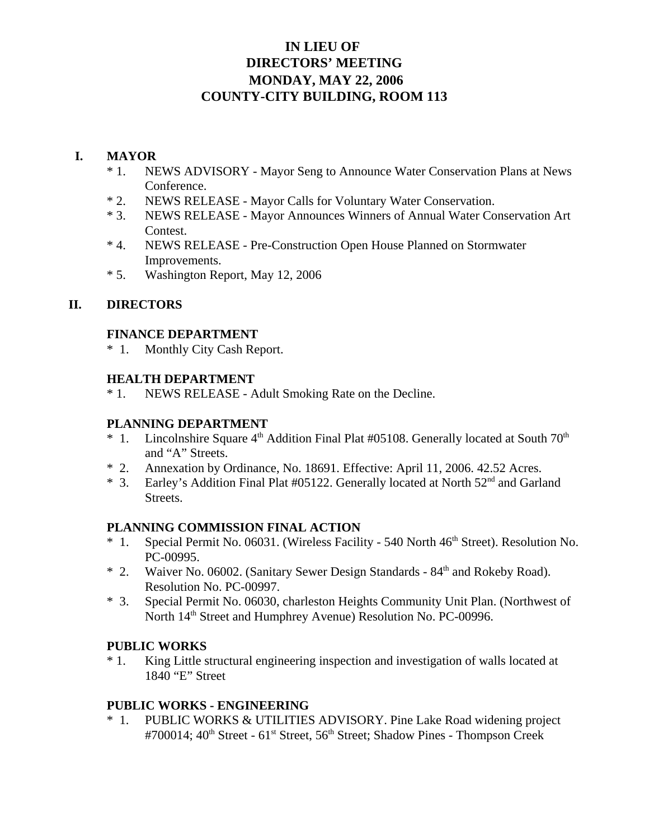# **IN LIEU OF DIRECTORS' MEETING MONDAY, MAY 22, 2006 COUNTY-CITY BUILDING, ROOM 113**

### **I. MAYOR**

- \* 1. NEWS ADVISORY Mayor Seng to Announce Water Conservation Plans at News Conference.
- \* 2. NEWS RELEASE Mayor Calls for Voluntary Water Conservation.
- \* 3. NEWS RELEASE Mayor Announces Winners of Annual Water Conservation Art Contest.
- \* 4. NEWS RELEASE Pre-Construction Open House Planned on Stormwater Improvements.
- \* 5. Washington Report, May 12, 2006

### **II. DIRECTORS**

#### **FINANCE DEPARTMENT**

\* 1. Monthly City Cash Report.

### **HEALTH DEPARTMENT**

\* 1. NEWS RELEASE - Adult Smoking Rate on the Decline.

### **PLANNING DEPARTMENT**

- \* 1. Lincolnshire Square  $4<sup>th</sup>$  Addition Final Plat #05108. Generally located at South  $70<sup>th</sup>$ and "A" Streets.
- \* 2. Annexation by Ordinance, No. 18691. Effective: April 11, 2006. 42.52 Acres.
- \* 3. Earley's Addition Final Plat #05122. Generally located at North 52nd and Garland Streets.

### **PLANNING COMMISSION FINAL ACTION**

- \* 1. Special Permit No. 06031. (Wireless Facility 540 North 46<sup>th</sup> Street). Resolution No. PC-00995.
- \* 2. Waiver No. 06002. (Sanitary Sewer Design Standards 84th and Rokeby Road). Resolution No. PC-00997.
- \* 3. Special Permit No. 06030, charleston Heights Community Unit Plan. (Northwest of North  $14<sup>th</sup>$  Street and Humphrey Avenue) Resolution No. PC-00996.

### **PUBLIC WORKS**

\* 1. King Little structural engineering inspection and investigation of walls located at 1840 "E" Street

### **PUBLIC WORKS - ENGINEERING**

\* 1. PUBLIC WORKS & UTILITIES ADVISORY. Pine Lake Road widening project #700014: 40<sup>th</sup> Street - 61<sup>st</sup> Street, 56<sup>th</sup> Street; Shadow Pines - Thompson Creek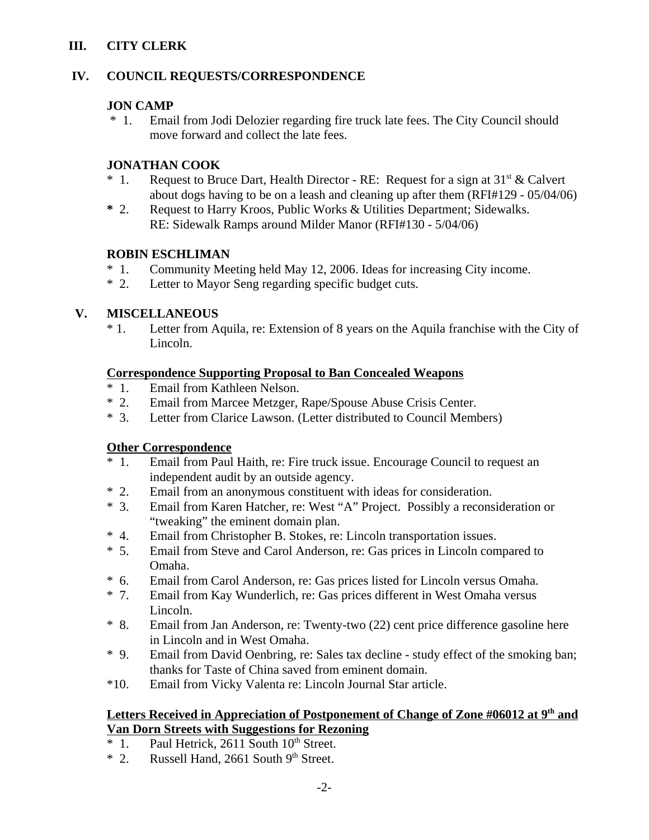## **III. CITY CLERK**

### **IV. COUNCIL REQUESTS/CORRESPONDENCE**

### **JON CAMP**

 \* 1. Email from Jodi Delozier regarding fire truck late fees. The City Council should move forward and collect the late fees.

## **JONATHAN COOK**

- \* 1. Request to Bruce Dart, Health Director RE: Request for a sign at  $31<sup>st</sup> \&$  Calvert about dogs having to be on a leash and cleaning up after them (RFI#129 - 05/04/06)
- **\*** 2. Request to Harry Kroos, Public Works & Utilities Department; Sidewalks. RE: Sidewalk Ramps around Milder Manor (RFI#130 - 5/04/06)

## **ROBIN ESCHLIMAN**

- \* 1. Community Meeting held May 12, 2006. Ideas for increasing City income.
- \* 2. Letter to Mayor Seng regarding specific budget cuts.

## **V. MISCELLANEOUS**

\* 1. Letter from Aquila, re: Extension of 8 years on the Aquila franchise with the City of Lincoln.

### **Correspondence Supporting Proposal to Ban Concealed Weapons**

- \* 1. Email from Kathleen Nelson.
- \* 2. Email from Marcee Metzger, Rape/Spouse Abuse Crisis Center.
- Letter from Clarice Lawson. (Letter distributed to Council Members)

## **Other Correspondence**

- \* 1. Email from Paul Haith, re: Fire truck issue. Encourage Council to request an independent audit by an outside agency.
- \* 2. Email from an anonymous constituent with ideas for consideration.
- \* 3. Email from Karen Hatcher, re: West "A" Project. Possibly a reconsideration or "tweaking" the eminent domain plan.
- \* 4. Email from Christopher B. Stokes, re: Lincoln transportation issues.
- \* 5. Email from Steve and Carol Anderson, re: Gas prices in Lincoln compared to Omaha.
- \* 6. Email from Carol Anderson, re: Gas prices listed for Lincoln versus Omaha.
- \* 7. Email from Kay Wunderlich, re: Gas prices different in West Omaha versus Lincoln.
- \* 8. Email from Jan Anderson, re: Twenty-two (22) cent price difference gasoline here in Lincoln and in West Omaha.
- \* 9. Email from David Oenbring, re: Sales tax decline study effect of the smoking ban; thanks for Taste of China saved from eminent domain.
- \*10. Email from Vicky Valenta re: Lincoln Journal Star article.

## Letters Received in Appreciation of Postponement of Change of Zone #06012 at 9<sup>th</sup> and **Van Dorn Streets with Suggestions for Rezoning**

- $*$  1. Paul Hetrick, 2611 South 10<sup>th</sup> Street.
- $*$  2. Russell Hand, 2661 South 9<sup>th</sup> Street.